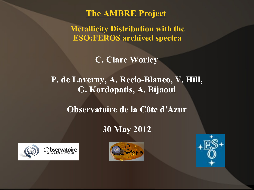#### **The AMBRE Project**

**Metallicity Distribution with the ESO:FEROS archived spectra**

**C. Clare Worley**

**P. de Laverny, A. Recio-Blanco, V. Hill, G. Kordopatis, A. Bijaoui**

**Observatoire de la Côte d'Azur**

#### **30 May 2012**





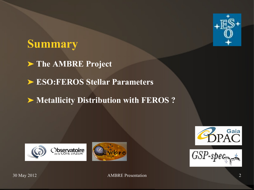

## **Summary**

**The AMBRE Project**

**ESO:FEROS Stellar Parameters**

 $\triangleright$  **Metallicity Distribution with FEROS ?** 







 $GSP-spec$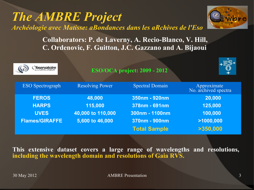30 May 2012 AMBRE Presentation 3

*The AMBRE Project*

*Archéologie avec Matisse: aBondances dans les aRchives de l'Eso*

**Collaborators: P. de Laverny, A. Recio-Blanco, V. Hill, C. Ordenovic, F. Guitton, J.C. Gazzano and A. Bijaoui**

| <b>Doservatoire</b>     |                        | <b>ESO/OCA project: 2009 - 2012</b> | +⊡⊅`                                |
|-------------------------|------------------------|-------------------------------------|-------------------------------------|
| <b>ESO</b> Spectrograph | <b>Resolving Power</b> | <b>Spectral Domain</b>              | Approximate<br>No. archived spectra |
| <b>FEROS</b>            | 48,000                 | 350nm - 920nm                       | 20,000                              |
| <b>HARPS</b>            | 115,000                | 378nm - 691nm                       | 125,000                             |
| <b>UVES</b>             | 40,000 to 110,000      | 300nm - 1100nm                      | 100,000                             |
| <b>Flames/GIRAFFE</b>   | 5,600 to 46,000        | 370nm - 900nm                       | >1000,000                           |
|                         |                        | <b>Total Sample</b>                 | >350,000                            |

**This extensive dataset covers a large range of wavelengths and resolutions, including the wavelength domain and resolutions of Gaia RVS.**

 $\vec{R}$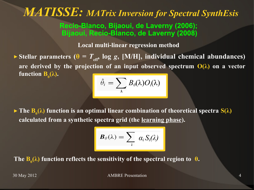## *MATISSE: MATrix Inversion for Spectral SynthEsis*

**Recio-Blanco, Bijaoui, de Laverny (2006); Bijaoui, Recio-Blanco, de Laverny (2008)**

**Local multi-linear regression method**

 $\triangleright$  Stellar parameters  $(\theta = T_{\text{eff}})$  log *g*, [M/H], individual chemical abundances) are derived by the projection of an input observed spectrum  $O(\lambda)$  on a vector **function**  $\mathbf{B}_{\theta}(\lambda)$ .

$$
\hat{\theta}_i = \sum_{\lambda} B_{\theta}(\lambda) O_i(\lambda)
$$

► The  $B_θ(λ)$  function is an optimal linear combination of theoretical spectra S( $λ$ ) **calculated from a synthetic spectra grid (the learning phase).**

$$
\boldsymbol{B}_{\theta}(\lambda) = \sum_{i} \alpha_{i} S_{i}(\lambda)
$$

The  $\mathbf{B}_{\theta}(\lambda)$  function reflects the sensitivity of the spectral region to  $\theta$ .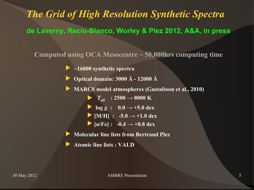## *The Grid of High Resolution Synthetic Spectra* **de Laverny, Recio-Blanco, Worley & Plez 2012, A&A, in press**

**Computed using OCA Mesocentre ~ 50,000hrs computing time**

- ▶ **~16000 synthetic spectra**
- ▶ **Optical domain: 3000 Å 12000 Å**

▶ **MARCS** model atmospheres (Gustafsson et al., 2010)

▶  $T_{\text{eff}}$  : 2500 → 8000 K

- ▶  $\log g$  :  $0.0 \rightarrow +5.0$  dex
- $\triangleright$  [M/H] : -5.0  $\rightarrow$  +1.0 dex
- $\blacktriangleright$  [a/Fe] : -0.4  $\rightarrow$  +0.8 dex

▶ **Molecular line lists from Bertrand Plez**

▶ **Atomic line lists : VALD**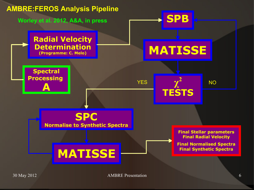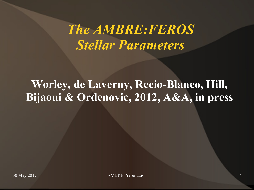# *The AMBRE:FEROS Stellar Parameters*

## **Worley, de Laverny, Recio-Blanco, Hill, Bijaoui & Ordenovic, 2012, A&A, in press**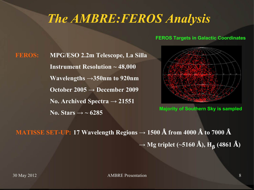## *The AMBRE:FEROS Analysis*

#### **FEROS Targets in Galactic Coordinates**

**FEROS: MPG/ESO 2.2m Telescope, La Silla Instrument Resolution ~ 48,000 Wavelengths →350nm to 920nm October 2005 → December 2009 No. Archived Spectra → 21551** No. Stars  $\rightarrow \sim 6285$ 



**Majority of Southern Sky is sampled**

**MATISSE SET-UP:** 17 Wavelength Regions  $\rightarrow$  1500 Å from 4000 Å to 7000 Å  **→ Mg triplet (~5160 Å), H<sup>β</sup> (4861 Å)**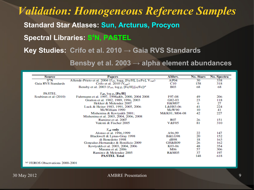### *Validation: Homogeneous Reference Samples*

**Standard Star Atlases: Sun, Arcturus, Procyon**

**Spectral Libraries: S <sup>4</sup>N, PASTEL**

**Key Studies: Crifo et al. 2010 → Gaia RVS Standards**

**Bensby et al. 2003 → alpha element abundances**

| Source                | <b>Papers</b>                                                                              | Abbry.            | No. Stars | No. Spectra |
|-----------------------|--------------------------------------------------------------------------------------------|-------------------|-----------|-------------|
| $S^4N$                | Allende-Prieto et al. 2004 ( $T_{\text{eff}}$ , logg, [Fe/H], [ $\alpha$ /Fe], $V_{rad}$ ) | AP04              | 30        | 338         |
| Gaia RVS Standards    | Crifo et al. 2010 $(V_{rad})$                                                              | C10               | 158       | 318         |
|                       | Bensby et al. 2003 ( $T_{\text{eff}}$ , log g, [Fe/H], [ $\alpha$ /Fe]) <sup>a</sup>       | <b>B03</b>        | 68        | 68          |
| <b>PASTEL</b>         | $T_{\rm eff}$ , $\log g$ , [Fe/H]                                                          |                   |           |             |
| Soubiran et al (2010) | Fuhrmann et al. 1997, 1998a&b, 2000, 2004 2008                                             | F97-08            | 49        | 206         |
|                       | Gratton et al. 1982, 1989, 1996, 2003                                                      | G82-03            | 23        | 118         |
|                       | Hekker & Melendez 2007                                                                     | H&M07             | 6         | 27          |
|                       | Luck & Heiter 1983, 1991, 2005, 2006                                                       | L&H83-06          | 41        | 224         |
|                       | McWilliam 1990                                                                             | McW90             | 10        | 41          |
|                       | Mishenina & Kovtyukh 2001;                                                                 | M&K01 M04-08      | 42        | 227         |
|                       | Mishenina et al. 2003, 2004, 2006, 2008                                                    |                   |           |             |
|                       | Ramirez et al. 2007                                                                        | R07               | 26        | 151         |
|                       | Valenti & Fischer 2005                                                                     | <b>V&amp;F05</b>  | 81        | 310         |
|                       | $T_{\rm eff}$ only                                                                         |                   |           |             |
|                       | Alonso et al. 1996,1999                                                                    | A96,99            | 22        | 147         |
|                       | Blackwell & Lynas-Gray 1998                                                                | <b>B&amp;LG98</b> | 20        | 152         |
|                       | di Benedetto 1998                                                                          | dB98              | 18        | 163         |
|                       | Gonzalez-Hernandez & Bonificio 2009                                                        | GH&B09            | 26        | 162         |
|                       | Kovtyukh et al. 2003, 2004, 2006                                                           | K03-06            | 48        | 354         |
|                       | Masana et al. 2006                                                                         | M06               | 57        | 306         |
|                       | Ramirez & Melendez 2005                                                                    | R&M05             | 37        | 197         |
|                       | <b>PASTEL Total</b>                                                                        |                   | 148       | 618         |

(a) FEROS Observations 2000-2001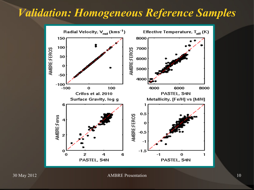## *Validation: Homogeneous Reference Samples*



30 May 2012 2001 2002 AMBRE Presentation 2008 2012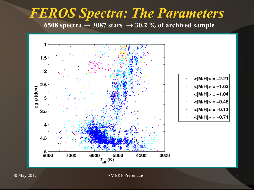### *FEROS Spectra: The Parameters* 6508 spectra  $\rightarrow$  3087 stars  $\rightarrow$  30.2 % of archived sample



30 May 2012 AMBRE Presentation 11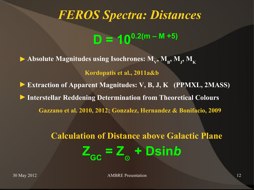## *FEROS Spectra: Distances*

 $D = 10^{0.2(m - M + 5)}$ 

▶ Absolute Magnitudes using Isochrones:  $M_v$ ,  $M_B$ ,  $M_J$ ,  $M_K$ **Kordopatis et al., 2011a&b Extraction of Apparent Magnitudes: V, B, J, K (PPMXL, 2MASS)** ►**Interstellar Reddening Determination from Theoretical Colours Gazzano et al. 2010, 2012; Gonzalez, Hernandez & Bonifacio, 2009**

#### **Calculation of Distance above Galactic Plane**  $Z_{\text{GC}} = Z_{\odot}$  **+ Dsin***b*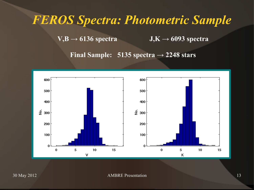## *FEROS Spectra: Photometric Sample*

 $V,B \rightarrow 6136$  spectra **J**,  $K \rightarrow 6093$  spectra

**Final Sample: 5135 spectra → 2248 stars**

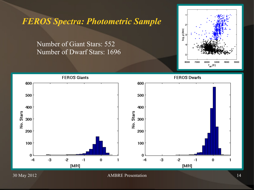*FEROS Spectra: Photometric Sample*

Number of Giant Stars: 552 Number of Dwarf Stars: 1696



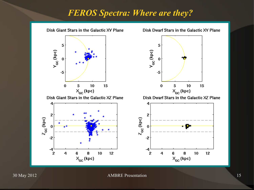#### *FEROS Spectra: Where are they?*



30 May 2012 AMBRE Presentation 15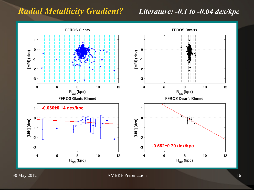#### *Radial Metallicity Gradient? Literature: -0.1 to -0.04 dex/kpc*

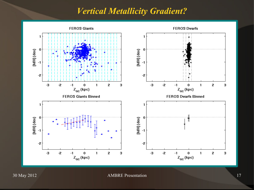#### *Vertical Metallicity Gradient?*

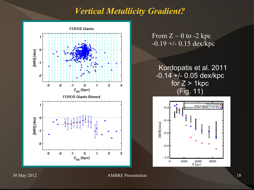#### *Vertical Metallicity Gradient?*



From  $Z \sim 0$  to -2 kpc  $-0.19 + -0.15$  dex/kpc

#### Kordopatis et al. 2011 -0.14 +/- 0.05 dex/kpc for  $Z > 1$ kpc (Fig. 11)



30 May 2012 AMBRE Presentation 18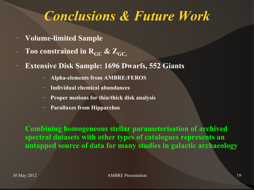## *Conclusions & Future Work*

- **Volume-limited Sample**
- **Too constrained in**  $R_{GC}$  **&**  $Z_{GC}$
- **Extensive Disk Sample: 1696 Dwarfs, 552 Giants**
	- **Alpha-elements from AMBRE:FEROS**
	- **Individual chemical abundances**
	- **Proper motions for thin/thick disk analysis**
	- **Parallaxes from Hipparchos**

**Combining homogeneous stellar parameterisation of archived spectral datasets with other types of catalogues represents an untapped source of data for many studies in galactic archaeology**